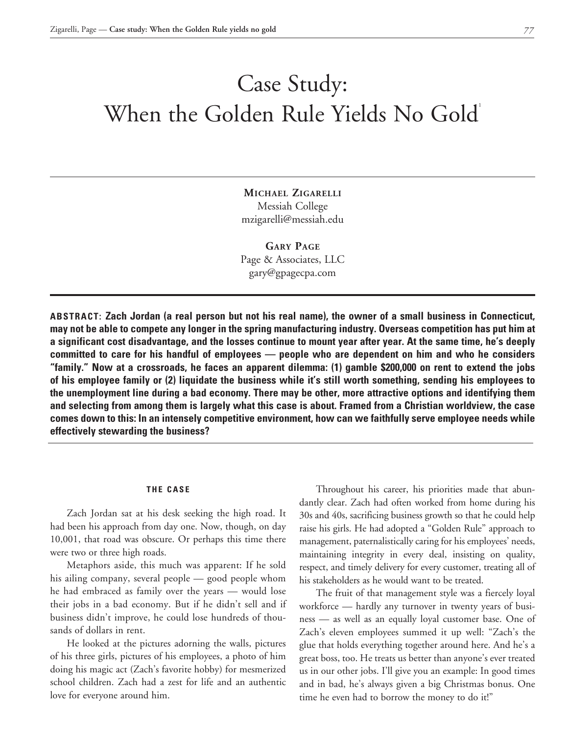# Case Study: When the Golden Rule Yields No Gold

**Michael Zigarelli** Messiah College mzigarelli@messiah.edu

**Gary Page** Page & Associates, LLC gary@gpagecpa.com

**ABSTRACT: Zach Jordan (a real person but not his real name), the owner of a small business in Connecticut, may not be able to compete any longer in the spring manufacturing industry. Overseas competition has put him at a significant cost disadvantage, and the losses continue to mount year after year. At the same time, he's deeply committed to care for his handful of employees — people who are dependent on him and who he considers "family." Now at a crossroads, he faces an apparent dilemma: (1) gamble \$200,000 on rent to extend the jobs of his employee family or (2) liquidate the business while it's still worth something, sending his employees to the unemployment line during a bad economy. There may be other, more attractive options and identifying them and selecting from among them is largely what this case is about. Framed from a Christian worldview, the case comes down to this: In an intensely competitive environment, how can we faithfully serve employee needs while effectively stewarding the business?**

#### **THE CASE**

Zach Jordan sat at his desk seeking the high road. It had been his approach from day one. Now, though, on day 10,001, that road was obscure. Or perhaps this time there were two or three high roads.

Metaphors aside, this much was apparent: If he sold his ailing company, several people — good people whom he had embraced as family over the years — would lose their jobs in a bad economy. But if he didn't sell and if business didn't improve, he could lose hundreds of thousands of dollars in rent.

He looked at the pictures adorning the walls, pictures of his three girls, pictures of his employees, a photo of him doing his magic act (Zach's favorite hobby) for mesmerized school children. Zach had a zest for life and an authentic love for everyone around him.

Throughout his career, his priorities made that abundantly clear. Zach had often worked from home during his 30s and 40s, sacrificing business growth so that he could help raise his girls. He had adopted a "Golden Rule" approach to management, paternalistically caring for his employees' needs, maintaining integrity in every deal, insisting on quality, respect, and timely delivery for every customer, treating all of his stakeholders as he would want to be treated.

The fruit of that management style was a fiercely loyal workforce — hardly any turnover in twenty years of business — as well as an equally loyal customer base. One of Zach's eleven employees summed it up well: "Zach's the glue that holds everything together around here. And he's a great boss, too. He treats us better than anyone's ever treated us in our other jobs. I'll give you an example: In good times and in bad, he's always given a big Christmas bonus. One time he even had to borrow the money to do it!"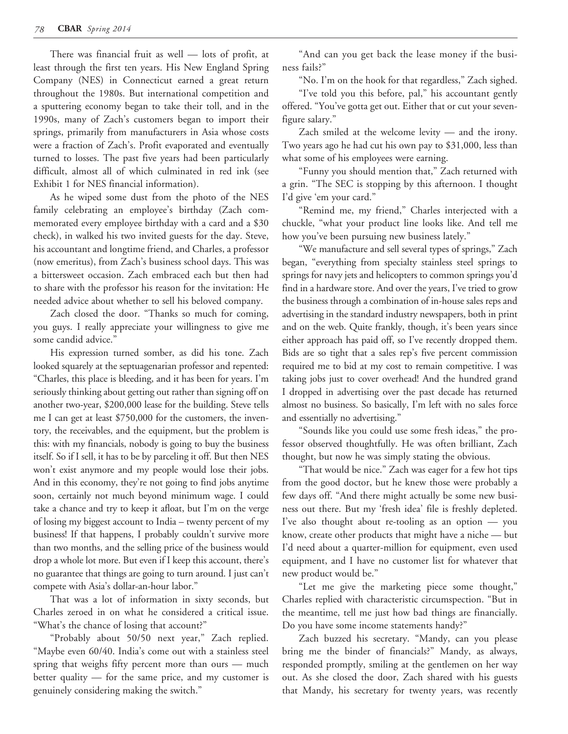There was financial fruit as well — lots of profit, at least through the first ten years. His New England Spring Company (NES) in Connecticut earned a great return throughout the 1980s. But international competition and a sputtering economy began to take their toll, and in the 1990s, many of Zach's customers began to import their springs, primarily from manufacturers in Asia whose costs were a fraction of Zach's. Profit evaporated and eventually turned to losses. The past five years had been particularly difficult, almost all of which culminated in red ink (see Exhibit 1 for NES financial information).

As he wiped some dust from the photo of the NES family celebrating an employee's birthday (Zach commemorated every employee birthday with a card and a \$30 check), in walked his two invited guests for the day. Steve, his accountant and longtime friend, and Charles, a professor (now emeritus), from Zach's business school days. This was a bittersweet occasion. Zach embraced each but then had to share with the professor his reason for the invitation: He needed advice about whether to sell his beloved company.

Zach closed the door. "Thanks so much for coming, you guys. I really appreciate your willingness to give me some candid advice."

His expression turned somber, as did his tone. Zach looked squarely at the septuagenarian professor and repented: "Charles, this place is bleeding, and it has been for years. I'm seriously thinking about getting out rather than signing off on another two-year, \$200,000 lease for the building. Steve tells me I can get at least \$750,000 for the customers, the inventory, the receivables, and the equipment, but the problem is this: with my financials, nobody is going to buy the business itself. So if I sell, it has to be by parceling it off. But then NES won't exist anymore and my people would lose their jobs. And in this economy, they're not going to find jobs anytime soon, certainly not much beyond minimum wage. I could take a chance and try to keep it afloat, but I'm on the verge of losing my biggest account to India – twenty percent of my business! If that happens, I probably couldn't survive more than two months, and the selling price of the business would drop a whole lot more. But even if I keep this account, there's no guarantee that things are going to turn around. I just can't compete with Asia's dollar-an-hour labor."

That was a lot of information in sixty seconds, but Charles zeroed in on what he considered a critical issue. "What's the chance of losing that account?"

"Probably about 50/50 next year," Zach replied. "Maybe even 60/40. India's come out with a stainless steel spring that weighs fifty percent more than ours — much better quality — for the same price, and my customer is genuinely considering making the switch."

"And can you get back the lease money if the business fails?"

"No. I'm on the hook for that regardless," Zach sighed.

"I've told you this before, pal," his accountant gently offered. "You've gotta get out. Either that or cut your sevenfigure salary."

Zach smiled at the welcome levity — and the irony. Two years ago he had cut his own pay to \$31,000, less than what some of his employees were earning.

"Funny you should mention that," Zach returned with a grin. "The SEC is stopping by this afternoon. I thought I'd give 'em your card."

"Remind me, my friend," Charles interjected with a chuckle, "what your product line looks like. And tell me how you've been pursuing new business lately."

"We manufacture and sell several types of springs," Zach began, "everything from specialty stainless steel springs to springs for navy jets and helicopters to common springs you'd find in a hardware store. And over the years, I've tried to grow the business through a combination of in-house sales reps and advertising in the standard industry newspapers, both in print and on the web. Quite frankly, though, it's been years since either approach has paid off, so I've recently dropped them. Bids are so tight that a sales rep's five percent commission required me to bid at my cost to remain competitive. I was taking jobs just to cover overhead! And the hundred grand I dropped in advertising over the past decade has returned almost no business. So basically, I'm left with no sales force and essentially no advertising."

"Sounds like you could use some fresh ideas," the professor observed thoughtfully. He was often brilliant, Zach thought, but now he was simply stating the obvious.

"That would be nice." Zach was eager for a few hot tips from the good doctor, but he knew those were probably a few days off. "And there might actually be some new business out there. But my 'fresh idea' file is freshly depleted. I've also thought about re-tooling as an option — you know, create other products that might have a niche — but I'd need about a quarter-million for equipment, even used equipment, and I have no customer list for whatever that new product would be."

"Let me give the marketing piece some thought," Charles replied with characteristic circumspection. "But in the meantime, tell me just how bad things are financially. Do you have some income statements handy?"

Zach buzzed his secretary. "Mandy, can you please bring me the binder of financials?" Mandy, as always, responded promptly, smiling at the gentlemen on her way out. As she closed the door, Zach shared with his guests that Mandy, his secretary for twenty years, was recently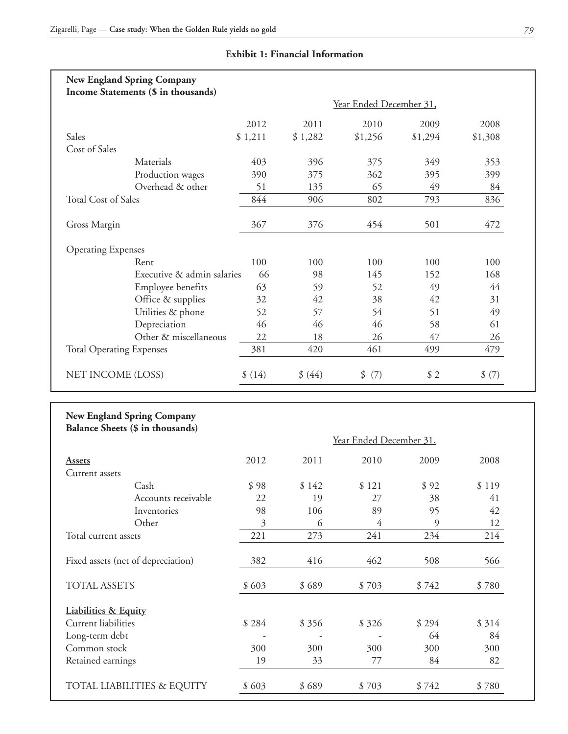|                                                                                                                                                            | Income Statements (\$ in thousands)                                   |                         |           |                         |           |                                   |
|------------------------------------------------------------------------------------------------------------------------------------------------------------|-----------------------------------------------------------------------|-------------------------|-----------|-------------------------|-----------|-----------------------------------|
|                                                                                                                                                            |                                                                       | Year Ended December 31, |           |                         |           |                                   |
|                                                                                                                                                            |                                                                       | 2012                    | 2011      | 2010                    | 2009      | 2008                              |
| Sales                                                                                                                                                      |                                                                       | \$1,211                 | \$1,282   | \$1,256                 | \$1,294   | \$1,308                           |
| Cost of Sales                                                                                                                                              |                                                                       |                         |           |                         |           |                                   |
|                                                                                                                                                            | Materials                                                             | 403                     | 396       | 375                     | 349       | 353                               |
|                                                                                                                                                            | Production wages                                                      | 390                     | 375       | 362                     | 395       | 399                               |
|                                                                                                                                                            | Overhead & other                                                      | 51                      | 135       | 65                      | 49        | 84                                |
| <b>Total Cost of Sales</b>                                                                                                                                 |                                                                       | 844                     | 906       | 802                     | 793       | 836                               |
| Gross Margin                                                                                                                                               |                                                                       | 367                     | 376       | 454                     | 501       | 472                               |
| <b>Operating Expenses</b>                                                                                                                                  |                                                                       |                         |           |                         |           |                                   |
|                                                                                                                                                            | Rent                                                                  | 100                     | 100       | 100                     | 100       | 100                               |
|                                                                                                                                                            | Executive & admin salaries                                            | 66                      | 98        | 145                     | 152       | 168                               |
|                                                                                                                                                            | Employee benefits                                                     | 63                      | 59        | 52                      | 49        | 44                                |
|                                                                                                                                                            | Office & supplies                                                     | 32                      | 42        | 38                      | 42        | 31                                |
|                                                                                                                                                            | Utilities & phone                                                     | 52                      | 57        | 54                      | 51        | 49                                |
|                                                                                                                                                            | Depreciation                                                          | 46                      | 46        | 46                      | 58        | 61                                |
|                                                                                                                                                            | Other & miscellaneous                                                 | 22                      | 18        | 26                      | 47        | 26                                |
| <b>Total Operating Expenses</b>                                                                                                                            |                                                                       | 381                     | 420       | 461                     | 499       | 479                               |
| NET INCOME (LOSS)                                                                                                                                          |                                                                       | \$(14)                  | \$ (44)   | \$ (7)                  | \$2       | \$ (7)                            |
|                                                                                                                                                            |                                                                       |                         |           |                         |           |                                   |
|                                                                                                                                                            | <b>New England Spring Company</b><br>Balance Sheets (\$ in thousands) |                         |           |                         |           |                                   |
|                                                                                                                                                            |                                                                       |                         |           | Year Ended December 31, |           |                                   |
|                                                                                                                                                            |                                                                       | 2012                    | 2011      | 2010                    | 2009      |                                   |
|                                                                                                                                                            |                                                                       |                         |           |                         |           |                                   |
|                                                                                                                                                            | Cash                                                                  | \$98                    | \$142     | \$121                   | \$92      |                                   |
|                                                                                                                                                            | Accounts receivable                                                   | 22                      | 19        | 27                      | 38        |                                   |
|                                                                                                                                                            | Inventories                                                           | 98                      | 106       | 89                      | 95        | 2008<br>\$119<br>41<br>42         |
|                                                                                                                                                            | Other                                                                 | 3<br>221                | 6<br>273  | $\overline{4}$<br>241   | 9<br>234  |                                   |
|                                                                                                                                                            | Fixed assets (net of depreciation)                                    | 382                     | 416       | 462                     | 508       | 12<br>214<br>566                  |
|                                                                                                                                                            |                                                                       | \$603                   | \$689     | \$703                   | \$742     |                                   |
|                                                                                                                                                            |                                                                       |                         |           |                         |           |                                   |
|                                                                                                                                                            |                                                                       |                         |           |                         |           |                                   |
|                                                                                                                                                            |                                                                       | \$284                   | \$356     | \$326                   | \$294     |                                   |
| <b>Assets</b><br>Current assets<br>Total current assets<br><b>TOTAL ASSETS</b><br><b>Liabilities &amp; Equity</b><br>Current liabilities<br>Long-term debt |                                                                       |                         |           |                         | 64        |                                   |
| Common stock<br>Retained earnings                                                                                                                          |                                                                       | 300<br>19               | 300<br>33 | 300<br>77               | 300<br>84 | \$780<br>\$314<br>84<br>300<br>82 |

# **Exhibit 1: Financial Information**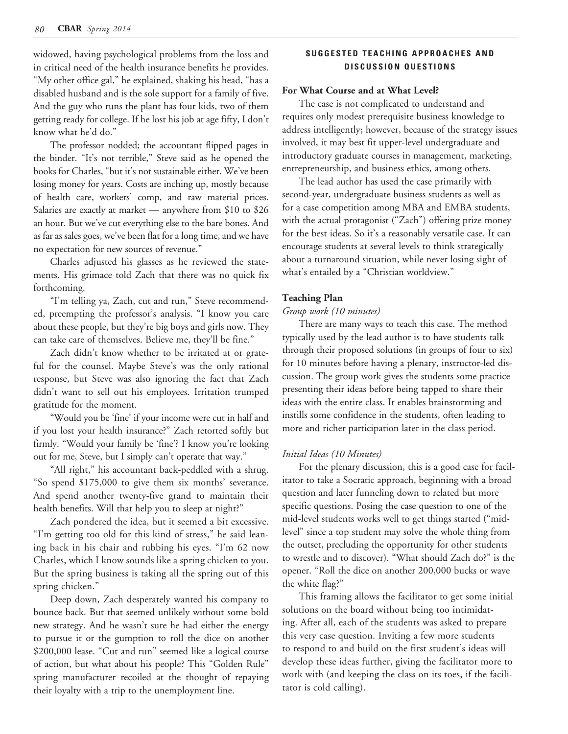widowed, having psychological problems from the loss and in critical need of the health insurance benefits he provides. "My other office gal," he explained, shaking his head, "has a disabled husband and is the sole support for a family of five. And the guy who runs the plant has four kids, two of them getting ready for college. If he lost his job at age fifty, I don't know what he'd do."

The professor nodded; the accountant flipped pages in the binder. "It's not terrible," Steve said as he opened the books for Charles, "but it's not sustainable either. We've been losing money for years. Costs are inching up, mostly because of health care, workers' comp, and raw material prices. Salaries are exactly at market — anywhere from \$10 to \$26 an hour. But we've cut everything else to the bare bones. And as far as sales goes, we've been flat for a long time, and we have no expectation for new sources of revenue."

Charles adjusted his glasses as he reviewed the statements. His grimace told Zach that there was no quick fix forthcoming.

"I'm telling ya, Zach, cut and run," Steve recommended, preempting the professor's analysis. "I know you care about these people, but they're big boys and girls now. They can take care of themselves. Believe me, they'll be fine."

Zach didn't know whether to be irritated at or grateful for the counsel. Maybe Steve's was the only rational response, but Steve was also ignoring the fact that Zach didn't want to sell out his employees. Irritation trumped gratitude for the moment.

"Would you be 'fine' if your income were cut in half and if you lost your health insurance?" Zach retorted softly but firmly. "Would your family be 'fine'? I know you're looking out for me, Steve, but I simply can't operate that way."

"All right," his accountant back-peddled with a shrug. "So spend \$175,000 to give them six months' severance. And spend another twenty-five grand to maintain their health benefits. Will that help you to sleep at night?"

Zach pondered the idea, but it seemed a bit excessive. "I'm getting too old for this kind of stress," he said leaning back in his chair and rubbing his eyes. "I'm 62 now Charles, which I know sounds like a spring chicken to you. But the spring business is taking all the spring out of this spring chicken."

Deep down, Zach desperately wanted his company to bounce back. But that seemed unlikely without some bold new strategy. And he wasn't sure he had either the energy to pursue it or the gumption to roll the dice on another \$200,000 lease. "Cut and run" seemed like a logical course of action, but what about his people? This "Golden Rule" spring manufacturer recoiled at the thought of repaying their loyalty with a trip to the unemployment line.

# SUGGESTED TEACHING APPROACHES AND **DISCUSSION QUESTIONS**

## **For What Course and at What Level?**

The case is not complicated to understand and requires only modest prerequisite business knowledge to address intelligently; however, because of the strategy issues involved, it may best fit upper-level undergraduate and introductory graduate courses in management, marketing, entrepreneurship, and business ethics, among others.

The lead author has used the case primarily with second-year, undergraduate business students as well as for a case competition among MBA and EMBA students, with the actual protagonist ("Zach") offering prize money for the best ideas. So it's a reasonably versatile case. It can encourage students at several levels to think strategically about a turnaround situation, while never losing sight of what's entailed by a "Christian worldview."

#### **Teaching Plan**

## *Group work (10 minutes)*

There are many ways to teach this case. The method typically used by the lead author is to have students talk through their proposed solutions (in groups of four to six) for 10 minutes before having a plenary, instructor-led discussion. The group work gives the students some practice presenting their ideas before being tapped to share their ideas with the entire class. It enables brainstorming and instills some confidence in the students, often leading to more and richer participation later in the class period.

#### *Initial Ideas (10 Minutes)*

For the plenary discussion, this is a good case for facilitator to take a Socratic approach, beginning with a broad question and later funneling down to related but more specific questions. Posing the case question to one of the mid-level students works well to get things started ("midlevel" since a top student may solve the whole thing from the outset, precluding the opportunity for other students to wrestle and to discover). "What should Zach do?" is the opener. "Roll the dice on another 200,000 bucks or wave the white flag?"

This framing allows the facilitator to get some initial solutions on the board without being too intimidating. After all, each of the students was asked to prepare this very case question. Inviting a few more students to respond to and build on the first student's ideas will develop these ideas further, giving the facilitator more to work with (and keeping the class on its toes, if the facilitator is cold calling).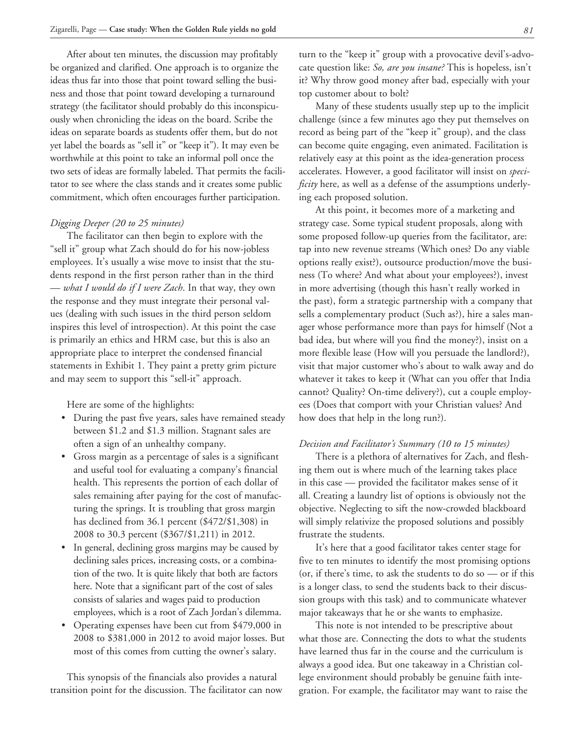After about ten minutes, the discussion may profitably be organized and clarified. One approach is to organize the ideas thus far into those that point toward selling the business and those that point toward developing a turnaround strategy (the facilitator should probably do this inconspicuously when chronicling the ideas on the board. Scribe the ideas on separate boards as students offer them, but do not yet label the boards as "sell it" or "keep it"). It may even be worthwhile at this point to take an informal poll once the two sets of ideas are formally labeled. That permits the facilitator to see where the class stands and it creates some public commitment, which often encourages further participation.

#### *Digging Deeper (20 to 25 minutes)*

The facilitator can then begin to explore with the "sell it" group what Zach should do for his now-jobless employees. It's usually a wise move to insist that the students respond in the first person rather than in the third — *what I would do if I were Zach*. In that way, they own the response and they must integrate their personal values (dealing with such issues in the third person seldom inspires this level of introspection). At this point the case is primarily an ethics and HRM case, but this is also an appropriate place to interpret the condensed financial statements in Exhibit 1. They paint a pretty grim picture and may seem to support this "sell-it" approach.

Here are some of the highlights:

- During the past five years, sales have remained steady between \$1.2 and \$1.3 million. Stagnant sales are often a sign of an unhealthy company.
- Gross margin as a percentage of sales is a significant and useful tool for evaluating a company's financial health. This represents the portion of each dollar of sales remaining after paying for the cost of manufacturing the springs. It is troubling that gross margin has declined from 36.1 percent (\$472/\$1,308) in 2008 to 30.3 percent (\$367/\$1,211) in 2012.
- In general, declining gross margins may be caused by declining sales prices, increasing costs, or a combination of the two. It is quite likely that both are factors here. Note that a significant part of the cost of sales consists of salaries and wages paid to production employees, which is a root of Zach Jordan's dilemma.
- Operating expenses have been cut from \$479,000 in 2008 to \$381,000 in 2012 to avoid major losses. But most of this comes from cutting the owner's salary.

This synopsis of the financials also provides a natural transition point for the discussion. The facilitator can now turn to the "keep it" group with a provocative devil's-advocate question like: *So, are you insane?* This is hopeless, isn't it? Why throw good money after bad, especially with your top customer about to bolt?

Many of these students usually step up to the implicit challenge (since a few minutes ago they put themselves on record as being part of the "keep it" group), and the class can become quite engaging, even animated. Facilitation is relatively easy at this point as the idea-generation process accelerates. However, a good facilitator will insist on *specificity* here, as well as a defense of the assumptions underlying each proposed solution.

At this point, it becomes more of a marketing and strategy case. Some typical student proposals, along with some proposed follow-up queries from the facilitator, are: tap into new revenue streams (Which ones? Do any viable options really exist?), outsource production/move the business (To where? And what about your employees?), invest in more advertising (though this hasn't really worked in the past), form a strategic partnership with a company that sells a complementary product (Such as?), hire a sales manager whose performance more than pays for himself (Not a bad idea, but where will you find the money?), insist on a more flexible lease (How will you persuade the landlord?), visit that major customer who's about to walk away and do whatever it takes to keep it (What can you offer that India cannot? Quality? On-time delivery?), cut a couple employees (Does that comport with your Christian values? And how does that help in the long run?).

#### *Decision and Facilitator's Summary (10 to 15 minutes)*

There is a plethora of alternatives for Zach, and fleshing them out is where much of the learning takes place in this case — provided the facilitator makes sense of it all. Creating a laundry list of options is obviously not the objective. Neglecting to sift the now-crowded blackboard will simply relativize the proposed solutions and possibly frustrate the students.

It's here that a good facilitator takes center stage for five to ten minutes to identify the most promising options (or, if there's time, to ask the students to do so — or if this is a longer class, to send the students back to their discussion groups with this task) and to communicate whatever major takeaways that he or she wants to emphasize.

This note is not intended to be prescriptive about what those are. Connecting the dots to what the students have learned thus far in the course and the curriculum is always a good idea. But one takeaway in a Christian college environment should probably be genuine faith integration. For example, the facilitator may want to raise the